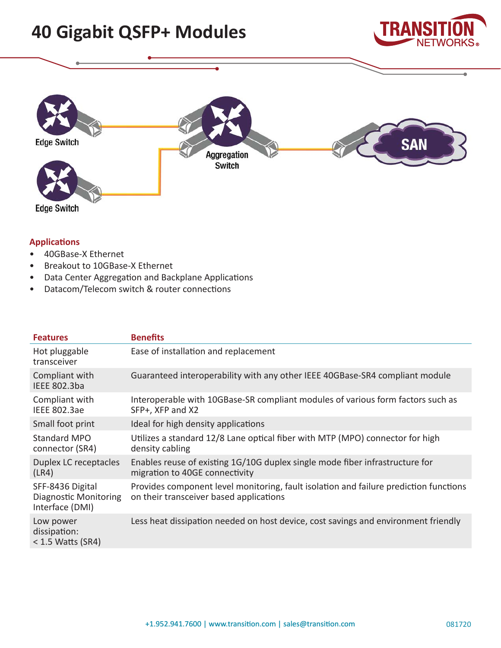# **40 Gigabit QSFP+ Modules**





# **Applications**

- 40GBase-X Ethernet
- Breakout to 10GBase-X Ethernet
- Data Center Aggregation and Backplane Applications
- Datacom/Telecom switch & router connections

| <b>Features</b>                                                     | <b>Benefits</b>                                                                                                                  |
|---------------------------------------------------------------------|----------------------------------------------------------------------------------------------------------------------------------|
| Hot pluggable<br>transceiver                                        | Ease of installation and replacement                                                                                             |
| Compliant with<br>IEEE 802.3ba                                      | Guaranteed interoperability with any other IEEE 40GBase-SR4 compliant module                                                     |
| Compliant with<br><b>IEEE 802.3ae</b>                               | Interoperable with 10GBase-SR compliant modules of various form factors such as<br>SFP+, XFP and X2                              |
| Small foot print                                                    | Ideal for high density applications                                                                                              |
| <b>Standard MPO</b><br>connector (SR4)                              | Utilizes a standard 12/8 Lane optical fiber with MTP (MPO) connector for high<br>density cabling                                 |
| Duplex LC receptacles<br>(LR4)                                      | Enables reuse of existing 1G/10G duplex single mode fiber infrastructure for<br>migration to 40GE connectivity                   |
| SFF-8436 Digital<br><b>Diagnostic Monitoring</b><br>Interface (DMI) | Provides component level monitoring, fault isolation and failure prediction functions<br>on their transceiver based applications |
| Low power<br>dissipation:<br>$<$ 1.5 Watts (SR4)                    | Less heat dissipation needed on host device, cost savings and environment friendly                                               |